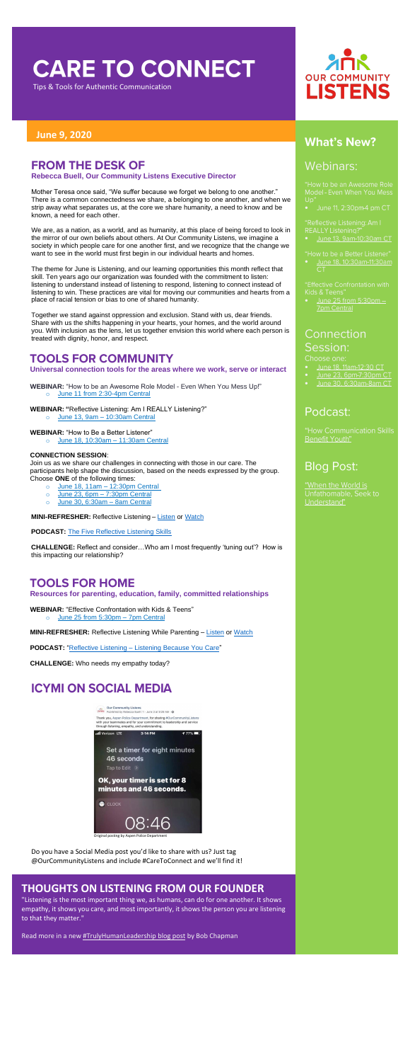# **CARE TO CONNECT**

Tips & Tools for Authentic Communication

#### **June 9, 2020**

## **FROM THE DESK OF**

**Rebecca Buell, Our Community Listens Executive Director**

Mother Teresa once said, "We suffer because we forget we belong to one another." There is a common connectedness we share, a belonging to one another, and when we strip away what separates us, at the core we share humanity, a need to know and be known, a need for each other.

We are, as a nation, as a world, and as humanity, at this place of being forced to look in the mirror of our own beliefs about others. At Our Community Listens, we imagine a society in which people care for one another first, and we recognize that the change we want to see in the world must first begin in our individual hearts and homes.

The theme for June is Listening, and our learning opportunities this month reflect that skill. Ten years ago our organization was founded with the commitment to listen: listening to understand instead of listening to respond, listening to connect instead of listening to win. These practices are vital for moving our communities and hearts from a place of racial tension or bias to one of shared humanity.

Together we stand against oppression and exclusion. Stand with us, dear friends. Share with us the shifts happening in your hearts, your homes, and the world around you. With inclusion as the lens, let us together envision this world where each person is treated with dignity, honor, and respect.

#### **TOOLS FOR COMMUNITY**

**Universal connection tools for the areas where we work, serve or interact**

**WEBINAR:** "How to be an Awesome Role Model - Even When You Mess Up!" o June 11 [from 2:30-4pm](https://us02web.zoom.us/meeting/register/tZUvduGvqTMoEtXCY4nln1ZPPJamILesGZWJ) Central

**WEBINAR: "**Reflective Listening: Am I REALLY Listening?"

o June 13, 9am – [10:30am Central](https://attendee.gototraining.com/r/8765208147664676354)

**WEBINAR:** "How to Be a Better Listener"

o [June 18, 10:30am –](https://attendee.gototraining.com/r/3341456925778090497) 11:30am Central

#### **CONNECTION SESSION**:

Join us as we share our challenges in connecting with those in our care. The participants help shape the discussion, based on the needs expressed by the group. Choose **ONE** of the following times:

- o [June 18, 11am –](https://us02web.zoom.us/meeting/register/tZUscOuqpz0iG9CR2LZq3HiGdQvA5xcng7GO) 12:30pm Central
- o June 23, 6pm 7:30pm Central
- o [June 30, 6:30am –](https://us02web.zoom.us/meeting/register/tZMlc-yuqj8oHNdT9YctfUP4Kd_Kz6Fpmgi1) 8am Central

**MINI-REFRESHER:** Reflective [Listen](https://soundcloud.com/ourcommunitylistens/mini-refresher-reflective?in=ourcommunitylistens/sets/mini-refresher-series)ing – Listen or [Watch](https://www.youtube.com/watch?v=oJVVQQgO494&feature=youtu.be)

**PODCAST:** [The Five Reflective Listening Skills](https://soundcloud.com/ourcommunitylistens/epi008)

**CHALLENGE:** Reflect and consider…Who am I most frequently 'tuning out'? How is this impacting our relationship?

#### **TOOLS FOR HOME**

**Resources for parenting, education, family, committed relationships**

# **OUR COMMUNITY LISTENS**

#### **What's New?**

#### Webinars:

Model - Even When You Mess  $Up'$ 

June 11, 2:30pm-4 pm CT

**REALLY Listening?** 

- June 13, 9am-10:30am CT
- "How to be a Better Listener"

Kids & Teens'

June 25 from 5:30pm -**7pm Central** 

## Connection Session:

Choose one:

- June 18, 11am-12:30 CT
- June 23, 6pm-7:30pm CT
- 

#### Podcast:

Benefit Youth"

### **Blog Post:**

"When the World is Unfathomable, Seek to Understand"

**WEBINAR:** "Effective Confrontation with Kids & Teens"

o [June 25 from 5:30pm](https://attendee.gototraining.com/r/8398938833787416833) - 7pm Central

**MINI-REFRESHER:** Reflective [Listen](https://soundcloud.com/ourcommunitylistens/mini-refresher-listening-while-parenting?in=ourcommunitylistens/sets/mini-refresher-series)ing While Parenting - Listen or [Watch](https://youtu.be/dq9oBH2gMfs)

**PODCAST:** "Reflective Listening – [Listening Because You Care"](https://soundcloud.com/ourcommunitylistens/epi006)

**CHALLENGE:** Who needs my empathy today?

#### **ICYMI ON SOCIAL MEDIA**



Do you have a Social Media post you'd like to share with us? Just tag @OurCommunityListens and include #CareToConnect and we'll find it!

#### **THOUGHTS ON LISTENING FROM OUR FOUNDER**

"Listening is the most important thing we, as humans, can do for one another. It shows empathy, it shows you care, and most importantly, it shows the person you are listening to that they matter."

Read more in a new **#TrulyHumanLeadership blog post** by Bob Chapman